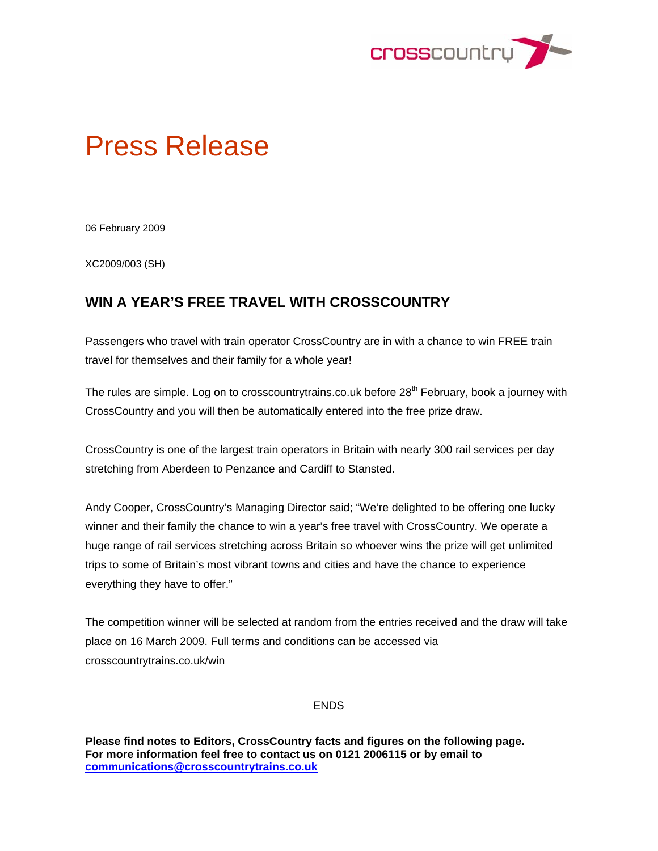

# Press Release

06 February 2009

XC2009/003 (SH)

## **WIN A YEAR'S FREE TRAVEL WITH CROSSCOUNTRY**

Passengers who travel with train operator CrossCountry are in with a chance to win FREE train travel for themselves and their family for a whole year!

The rules are simple. Log on to crosscountrytrains.co.uk before  $28<sup>th</sup>$  February, book a journey with CrossCountry and you will then be automatically entered into the free prize draw.

CrossCountry is one of the largest train operators in Britain with nearly 300 rail services per day stretching from Aberdeen to Penzance and Cardiff to Stansted.

Andy Cooper, CrossCountry's Managing Director said; "We're delighted to be offering one lucky winner and their family the chance to win a year's free travel with CrossCountry. We operate a huge range of rail services stretching across Britain so whoever wins the prize will get unlimited trips to some of Britain's most vibrant towns and cities and have the chance to experience everything they have to offer."

The competition winner will be selected at random from the entries received and the draw will take place on 16 March 2009. Full terms and conditions can be accessed via crosscountrytrains.co.uk/win

#### ENDS

**Please find notes to Editors, CrossCountry facts and figures on the following page. For more information feel free to contact us on 0121 2006115 or by email to communications@crosscountrytrains.co.uk**